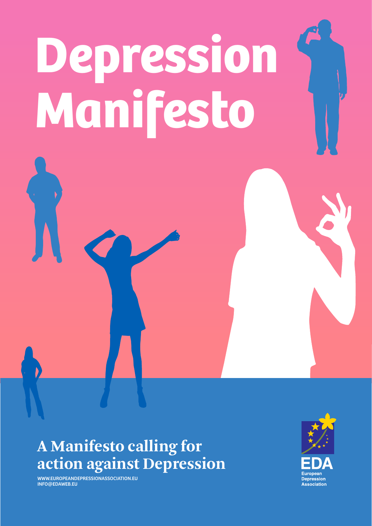# **Depression Manifesto**

#### **A Manifesto calling for action against Depression**

WWW.EUROPEANDEPRESSIONASSOCIATION.EU INFO@EDAWEB.EU

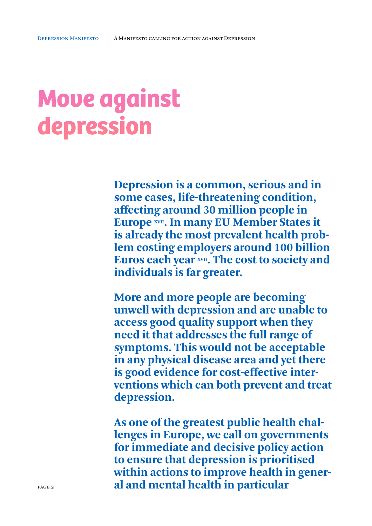# **Move against depression**

**Depression is a common, serious and in some cases, life-threatening condition, affecting around 30 million people in Europe XVII. In many EU Member States it is already the most prevalent health problem costing employers around 100 billion**  Euros each year **XVII**. The cost to society and **individuals is far greater.**

**More and more people are becoming unwell with depression and are unable to access good quality support when they need it that addresses the full range of symptoms. This would not be acceptable in any physical disease area and yet there is good evidence for cost-effective interventions which can both prevent and treat depression.**

**As one of the greatest public health challenges in Europe, we call on governments for immediate and decisive policy action to ensure that depression is prioritised within actions to improve health in general and mental health in particular**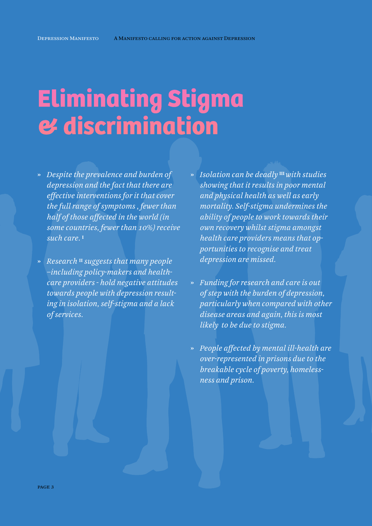## **Eliminating Stigma & discrimination**

» *Despite the prevalence and burden of depression and the fact that there are effective interventions for it that cover the full range of symptoms , fewer than half of those affected in the world (in some countries, fewer than 10%) receive such care.* **<sup>I</sup>**

Depression Manifesto

- » *Research* **II** *suggests that many people –including policy-makers and healthcare providers - hold negative attitudes towards people with depression resulting in isolation, self-stigma and a lack of services.*
- » *Isolation can be deadly* **III** *with studies showing that it results in poor mental and physical health as well as early mortality. Self-stigma undermines the ability of people to work towards their own recovery whilst stigma amongst health care providers means that opportunities to recognise and treat depression are missed.*
- » *Funding for research and care is out of step with the burden of depression, particularly when compared with other disease areas and again, this is most likely to be due to stigma.*
- » *People affected by mental ill-health are over-represented in prisons due to the breakable cycle of poverty, homelessness and prison.*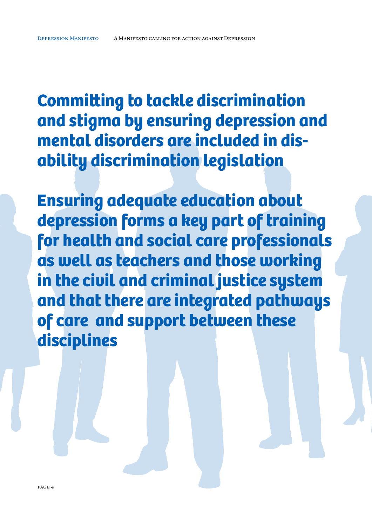**Committing to tackle discrimination and stigma by ensuring depression and mental disorders are included in disability discrimination legislation**

**Ensuring adequate education about depression forms a key part of training for health and social care professionals as well as teachers and those working in the civil and criminal justice system and that there are integrated pathways of care and support between these disciplines**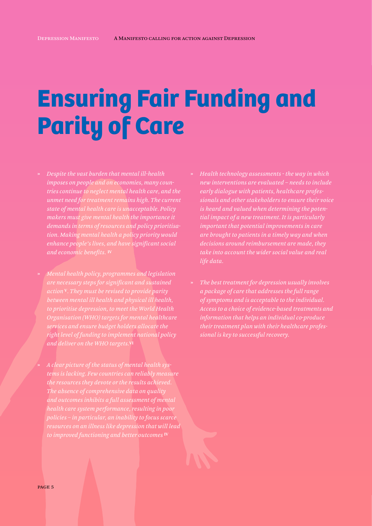# **Ensuring Fair Funding and Parity of Care**

- » *Despite the vast burden that mental ill-health imposes on people and on economies, many countries continue to neglect mental health care, and the unmet need for treatment remains high. The current state of mental health care is unacceptable. Policy makers must give mental health the importance it demands in terms of resources and policy prioritisation. Making mental health a policy priority would enhance people's lives, and have significant social and economic benefits.* **IV**
- » *Mental health policy, programmes and legislation are necessary steps for significant and sustained action* **V***. They must be revised to provide parity between mental ill health and physical ill health, to prioritise depression, to meet the World Health Organisation (WHO) targets for mental healthcare services and ensure budget holders allocate the right level of funding to implement national policy and deliver on the WHO targets.***VI**
	- » *A clear picture of the status of mental health systems is lacking. Few countries can reliably measure the resources they devote or the results achieved. The absence of comprehensive data on quality and outcomes inhibits a full assessment of mental health care system performance, resulting in poor policies – in particular, an inability to focus scarce resources on an illness like depression that will lead*
- » *Health technology assessments the way in which new interventions are evaluated – needs to include early dialogue with patients, healthcare profesis heard and valued when determining the potential impact of a new treatment. It is particularly important that potential improvements in care are brought to patients in a timely way and when decisions around reimbursement are made, they take into account the wider social value and real life data.*
- » *The best treatment for depression usually involves a package of care that addresses the full range of symptoms and is acceptable to the individual. Access to a choice of evidence-based treatments and information that helps an individual co-produce their treatment plan with their healthcare professional is key to successful recovery.*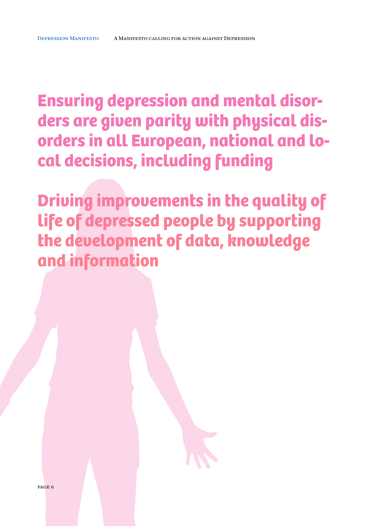**Ensuring depression and mental disorders are given parity with physical disorders in all European, national and local decisions, including funding**

**Driving improvements in the quality of life of depressed people by supporting the development of data, knowledge and information**

page 6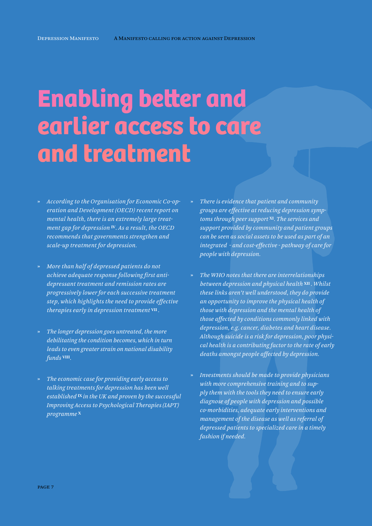### **Enabling better and earlier access to care and treatment**

- » *According to the Organisation for Economic Co-operation and Development (OECD) recent report on mental health, there is an extremely large treatment gap for depression* **IV***. As a result, the OECD recommends that governments strengthen and scale-up treatment for depression.*
- » *More than half of depressed patients do not achieve adequate response following first antidepressant treatment and remission rates are progressively lower for each successive treatment step, which highlights the need to provide effective therapies early in depression treatment* **VII** *.*
- » *The longer depression goes untreated, the more debilitating the condition becomes, which in turn leads to even greater strain on national disability funds* **VIII***.*
- » *The economic case for providing early access to talking treatments for depression has been well established* **IX** *in the UK and proven by the successful Improving Access to Psychological Therapies (IAPT) programme* **<sup>X</sup>**
- » *There is evidence that patient and community groups are effective at reducing depression symptoms through peer support* **XI***. The services and support provided by community and patient groups can be seen as social assets to be used as part of an integrated - and cost-effective - pathway of care for people with depression.*
- » *The WHO notes that there are interrelationships between depression and physical health* **XII** *. Whilst these links aren't well understood, they do provide an opportunity to improve the physical health of those with depression and the mental health of those affected by conditions commonly linked with depression, e.g. cancer, diabetes and heart disease. Although suicide is a risk for depression, poor physical health is a contributing factor to the rate of early deaths amongst people affected by depression.*
- » *Investments should be made to provide physicians with more comprehensive training and to supply them with the tools they need to ensure early diagnose of people with depression and possible co-morbidities, adequate early interventions and management of the disease as well as referral of depressed patients to specialized care in a timely fashion if needed.*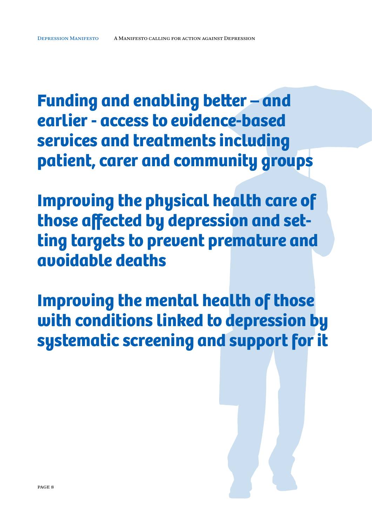**Funding and enabling better – and earlier - access to evidence-based services and treatments including patient, carer and community groups**

**Improving the physical health care of those affected by depression and setting targets to prevent premature and avoidable deaths**

**Improving the mental health of those with conditions linked to depression by systematic screening and support for it**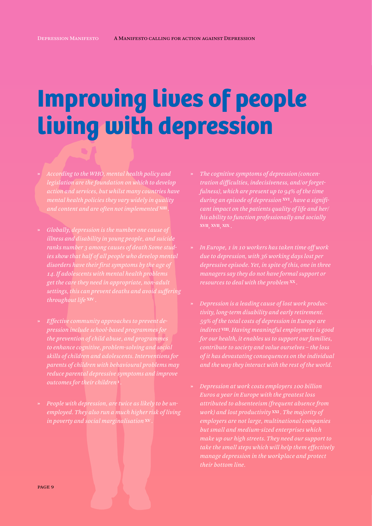#### **Improving lives of people living with depression**

- » *According to the WHO, mental health policy and legislation are the foundation on which to develop action and services, but whilst many countries have mental health policies they vary widely in quality*
- » *Globally, depression is the number one cause of illness and disability in young people, and suicide ranks number 3 among causes of death Some studies show that half of all people who develop mental disorders have their first symptoms by the age of 14. If adolescents with mental health problems get the care they need in appropriate, non-adult settings, this can prevent deaths and avoid suffering throughout life* **XIV** *.*
- » *Effective community approaches to prevent depression include school-based programmes for the prevention of child abuse, and programmes to enhance cognitive, problem-solving and social skills of children and adolescents. Interventions for parents of children with behavioural problems may reduce parental depressive symptoms and improve outcomes for their children* **i** *.*
- » *People with depression, are twice as likely to be unemployed. They also run a much higher risk of living in poverty and social marginalisation* **XV** *.*
- » *The cognitive symptoms of depression (concentration difficulties, indecisiveness, and/or forgetfulness), which are present up to 94% of the time during an episode of depression* **XVI** *, have a significant impact on the patients quality of life and her/ his ability to function professionally and socially*
- » *In Europe, 1 in 10 workers has taken time off work due to depression, with 36 working days lost per depressive episode. Yet, in spite of this, one in three managers say they do not have formal support or resources to deal with the problem* **XX** *.*
- » *Depression is a leading cause of lost work productivity, long-term disability and early retirement. 59% of the total costs of depression in Europe are indirect* **VIII***. Having meaningful employment is good for our health, it enables us to support our families, of it has devastating consequences on the individual and the way they interact with the rest of the world.*
- » *Depression at work costs employers 100 billion Euros a year in Europe with the greatest loss attributed to absenteeism (frequent absence from work) and lost productivity* **XXI** *. The majority of employers are not large, multinational companies but small and medium-sized enterprises which make up our high streets. They need our support to take the small steps which will help them effectively manage depression in the workplace and protect their bottom line.*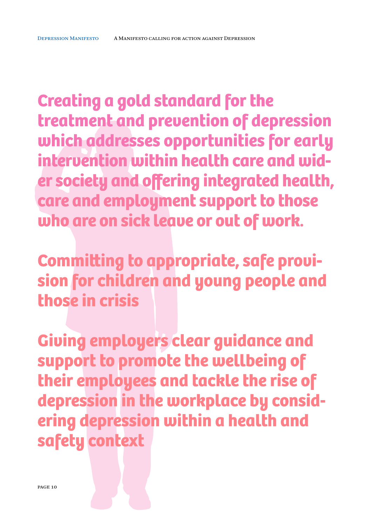**Creating a gold standard for the treatment and prevention of depression which addresses opportunities for early intervention within health care and wider society and offering integrated health, care and employment support to those who are on sick leave or out of work.**

**Committing to appropriate, safe provision for children and young people and those in crisis** 

**Giving employers clear guidance and support to promote the wellbeing of their employees and tackle the rise of depression in the workplace by considering depression within a health and safety context**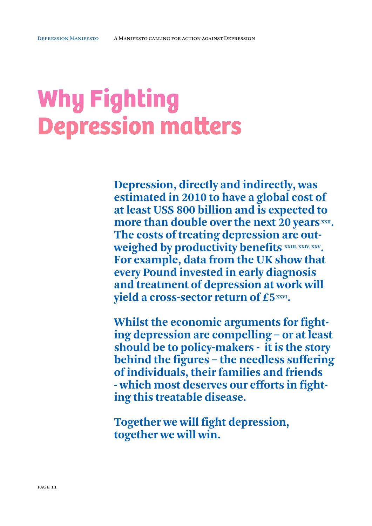# **Why Fighting Depression matters**

**Depression, directly and indirectly, was estimated in 2010 to have a global cost of at least US\$ 800 billion and is expected to**  more than double over the next 20 years **XXII**. **The costs of treating depression are out**weighed by productivity benefits  $x x m, x x w, x x v$ . **For example, data from the UK show that every Pound invested in early diagnosis and treatment of depression at work will yield a cross-sector return of £5 XXVI.** 

**Whilst the economic arguments for fighting depression are compelling – or at least should be to policy-makers - it is the story behind the figures – the needless suffering of individuals, their families and friends - which most deserves our efforts in fighting this treatable disease.**

**Together we will fight depression, together we will win.**